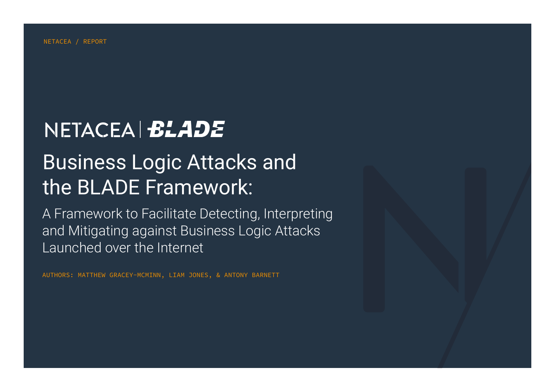# NETACEA BLADE

# Business Logic Attacks and the BLADE Framework:

A Framework to Facilitate Detecting, Interpreting and Mitigating against Business Logic Attacks Launched over the Internet

AUTHORS: MATTHEW GRACEY-MCMINN, LIAM JONES, & ANTONY BARNETT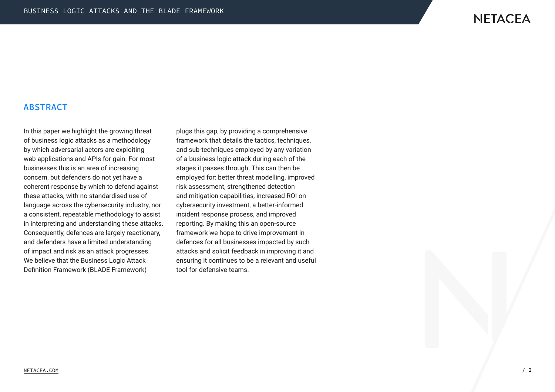## **NETACEA**

#### ABSTRACT

In this paper we highlight the growing threat of business logic attacks as a methodology by which adversarial actors are exploiting web applications and APIs for gain. For most businesses this is an area of increasing concern, but defenders do not yet have a coherent response by which to defend against these attacks, with no standardised use of language across the cybersecurity industry, nor a consistent, repeatable methodology to assist in interpreting and understanding these attacks. Consequently, defences are largely reactionary, and defenders have a limited understanding of impact and risk as an attack progresses. We believe that the Business Logic Attack Definition Framework (BLADE Framework)

plugs this gap, by providing a comprehensive framework that details the tactics, techniques, and sub-techniques employed by any variation of a business logic attack during each of the stages it passes through. This can then be employed for: better threat modelling, improved risk assessment, strengthened detection and mitigation capabilities, increased ROI on cybersecurity investment, a better-informed incident response process, and improved reporting. By making this an open-source framework we hope to drive improvement in defences for all businesses impacted by such attacks and solicit feedback in improving it and ensuring it continues to be a relevant and useful tool for defensive teams.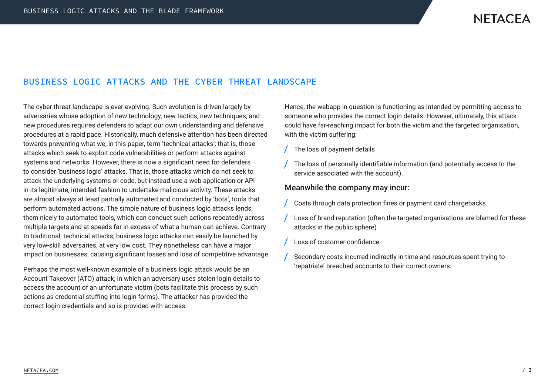### BUSINESS LOGIC ATTACKS AND THE CYBER THREAT LANDSCAPE

The cyber threat landscape is ever evolving. Such evolution is driven largely by adversaries whose adoption of new technology, new tactics, new techniques, and new procedures requires defenders to adapt our own understanding and defensive procedures at a rapid pace. Historically, much defensive attention has been directed towards preventing what we, in this paper, term 'technical attacks'; that is, those attacks which seek to exploit code vulnerabilities or perform attacks against systems and networks. However, there is now a significant need for defenders to consider 'business logic' attacks. That is, those attacks which do not seek to attack the underlying systems or code, but instead use a web application or API in its legitimate, intended fashion to undertake malicious activity. These attacks are almost always at least partially automated and conducted by 'bots', tools that perform automated actions. The simple nature of business logic attacks lends them nicely to automated tools, which can conduct such actions repeatedly across multiple targets and at speeds far in excess of what a human can achieve. Contrary to traditional, technical attacks, business logic attacks can easily be launched by very low-skill adversaries, at very low cost. They nonetheless can have a major impact on businesses, causing significant losses and loss of competitive advantage.

Perhaps the most well-known example of a business logic attack would be an Account Takeover (ATO) attack, in which an adversary uses stolen login details to access the account of an unfortunate victim (bots facilitate this process by such actions as credential stuffing into login forms). The attacker has provided the correct login credentials and so is provided with access.

Hence, the webapp in question is functioning as intended by permitting access to someone who provides the correct login details. However, ultimately, this attack could have far-reaching impact for both the victim and the targeted organisation, with the victim suffering:

- The loss of payment details
- The loss of personally identifiable information (and potentially access to the service associated with the account).

#### Meanwhile the company may incur:

- Costs through data protection fines or payment card chargebacks
- Loss of brand reputation (often the targeted organisations are blamed for these attacks in the public sphere)
- Loss of customer confidence
- Secondary costs incurred indirectly in time and resources spent trying to 'repatriate' breached accounts to their correct owners.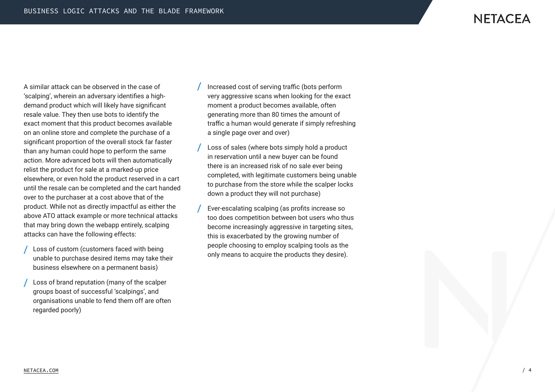A similar attack can be observed in the case of 'scalping', wherein an adversary identifies a highdemand product which will likely have significant resale value. They then use bots to identify the exact moment that this product becomes available on an online store and complete the purchase of a significant proportion of the overall stock far faster than any human could hope to perform the same action. More advanced bots will then automatically relist the product for sale at a marked-up price elsewhere, or even hold the product reserved in a cart until the resale can be completed and the cart handed over to the purchaser at a cost above that of the product. While not as directly impactful as either the above ATO attack example or more technical attacks that may bring down the webapp entirely, scalping attacks can have the following effects:

- Loss of custom (customers faced with being unable to purchase desired items may take their business elsewhere on a permanent basis)
- Loss of brand reputation (many of the scalper groups boast of successful 'scalpings', and organisations unable to fend them off are often regarded poorly)
- Increased cost of serving traffic (bots perform very aggressive scans when looking for the exact moment a product becomes available, often generating more than 80 times the amount of traffic a human would generate if simply refreshing a single page over and over)
- Loss of sales (where bots simply hold a product in reservation until a new buyer can be found there is an increased risk of no sale ever being completed, with legitimate customers being unable to purchase from the store while the scalper locks down a product they will not purchase)
- Ever-escalating scalping (as profits increase so too does competition between bot users who thus become increasingly aggressive in targeting sites, this is exacerbated by the growing number of people choosing to employ scalping tools as the only means to acquire the products they desire).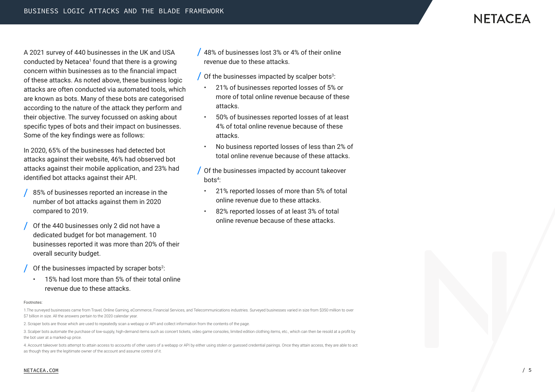A 2021 survey of 440 businesses in the UK and USA conducted by Netacea<sup>1</sup> found that there is a growing concern within businesses as to the financial impact of these attacks. As noted above, these business logic attacks are often conducted via automated tools, which are known as bots. Many of these bots are categorised according to the nature of the attack they perform and their objective. The survey focussed on asking about specific types of bots and their impact on businesses. Some of the key findings were as follows:

In 2020, 65% of the businesses had detected bot attacks against their website, 46% had observed bot attacks against their mobile application, and 23% had identified bot attacks against their API.

- 85% of businesses reported an increase in the number of bot attacks against them in 2020 compared to 2019.
- Of the 440 businesses only 2 did not have a dedicated budget for bot management. 10 businesses reported it was more than 20% of their overall security budget.
- Of the businesses impacted by scraper bots $2$ :
- 15% had lost more than 5% of their total online revenue due to these attacks.

#### $\frac{1}{48\%}$  of businesses lost 3% or 4% of their online revenue due to these attacks.

- Of the businesses impacted by scalper bots $^3$ :
- 21% of businesses reported losses of 5% or more of total online revenue because of these attacks.
- 50% of businesses reported losses of at least 4% of total online revenue because of these attacks.
- No business reported losses of less than 2% of total online revenue because of these attacks.
- Of the businesses impacted by account takeover bots4 :
- 21% reported losses of more than 5% of total online revenue due to these attacks.
- 82% reported losses of at least 3% of total online revenue because of these attacks.

#### Footnotes:

1.The surveyed businesses came from Travel, Online Gaming, eCommerce, Financial Services, and Telecommunications industries. Surveyed businesses varied in size from \$350 million to over \$7 billion in size. All the answers pertain to the 2020 calendar year.

2. Scraper bots are those which are used to repeatedly scan a webapp or API and collect information from the contents of the page.

3. Scalper bots automate the purchase of low-supply, high-demand items such as concert tickets, video game consoles, limited edition clothing items, etc., which can then be resold at a profit by the bot user at a marked-up price.

4. Account takeover bots attempt to attain access to accounts of other users of a webapp or API by either using stolen or guessed credential pairings. Once they attain access, they are able to act as though they are the legitimate owner of the account and assume control of it.

#### NETACEA.COM / 5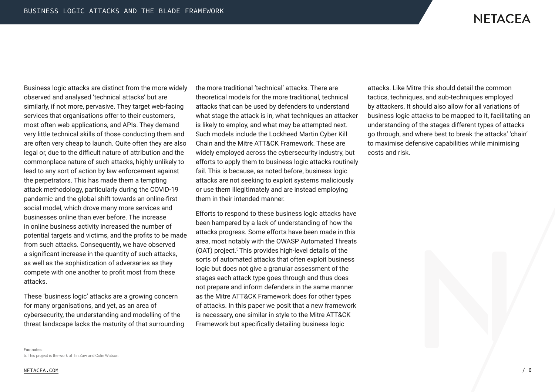Business logic attacks are distinct from the more widely observed and analysed 'technical attacks' but are similarly, if not more, pervasive. They target web-facing services that organisations offer to their customers, most often web applications, and APIs. They demand very little technical skills of those conducting them and are often very cheap to launch. Quite often they are also legal or, due to the difficult nature of attribution and the commonplace nature of such attacks, highly unlikely to lead to any sort of action by law enforcement against the perpetrators. This has made them a tempting attack methodology, particularly during the COVID-19 pandemic and the global shift towards an online-first social model, which drove many more services and businesses online than ever before. The increase in online business activity increased the number of potential targets and victims, and the profits to be made from such attacks. Consequently, we have observed a significant increase in the quantity of such attacks, as well as the sophistication of adversaries as they compete with one another to profit most from these attacks.

These 'business logic' attacks are a growing concern for many organisations, and yet, as an area of cybersecurity, the understanding and modelling of the threat landscape lacks the maturity of that surrounding the more traditional 'technical' attacks. There are theoretical models for the more traditional, technical attacks that can be used by defenders to understand what stage the attack is in, what techniques an attacker is likely to employ, and what may be attempted next. Such models include the Lockheed Martin Cyber Kill Chain and the Mitre ATT&CK Framework. These are widely employed across the cybersecurity industry, but efforts to apply them to business logic attacks routinely fail. This is because, as noted before, business logic attacks are not seeking to exploit systems maliciously or use them illegitimately and are instead employing them in their intended manner.

Efforts to respond to these business logic attacks have been hampered by a lack of understanding of how the attacks progress. Some efforts have been made in this area, most notably with the OWASP Automated Threats (OAT) project.5 This provides high-level details of the sorts of automated attacks that often exploit business logic but does not give a granular assessment of the stages each attack type goes through and thus does not prepare and inform defenders in the same manner as the Mitre ATT&CK Framework does for other types of attacks. In this paper we posit that a new framework is necessary, one similar in style to the Mitre ATT&CK Framework but specifically detailing business logic

attacks. Like Mitre this should detail the common tactics, techniques, and sub-techniques employed by attackers. It should also allow for all variations of business logic attacks to be mapped to it, facilitating an understanding of the stages different types of attacks go through, and where best to break the attacks' 'chain' to maximise defensive capabilities while minimising costs and risk.

5. This project is the work of Tin Zaw and Colin Watson.

Footnotes: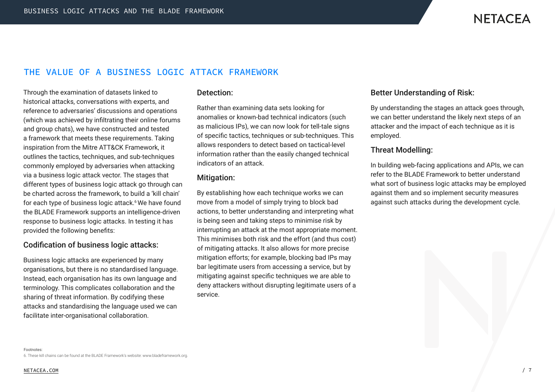## THE VALUE OF A BUSINESS LOGIC ATTACK FRAMEWORK

Through the examination of datasets linked to historical attacks, conversations with experts, and reference to adversaries' discussions and operations (which was achieved by infiltrating their online forums and group chats), we have constructed and tested a framework that meets these requirements. Taking inspiration from the Mitre ATT&CK Framework, it outlines the tactics, techniques, and sub-techniques commonly employed by adversaries when attacking via a business logic attack vector. The stages that different types of business logic attack go through can be charted across the framework, to build a 'kill chain' for each type of business logic attack.<sup>6</sup> We have found the BLADE Framework supports an intelligence-driven response to business logic attacks. In testing it has provided the following benefits:

#### Codification of business logic attacks:

Business logic attacks are experienced by many organisations, but there is no standardised language. Instead, each organisation has its own language and terminology. This complicates collaboration and the sharing of threat information. By codifying these attacks and standardising the language used we can facilitate inter-organisational collaboration.

#### Detection:

Rather than examining data sets looking for anomalies or known-bad technical indicators (such as malicious IPs), we can now look for tell-tale signs of specific tactics, techniques or sub-techniques. This allows responders to detect based on tactical-level information rather than the easily changed technical indicators of an attack.

#### Mitigation:

By establishing how each technique works we can move from a model of simply trying to block bad actions, to better understanding and interpreting what is being seen and taking steps to minimise risk by interrupting an attack at the most appropriate moment. This minimises both risk and the effort (and thus cost) of mitigating attacks. It also allows for more precise mitigation efforts; for example, blocking bad IPs may bar legitimate users from accessing a service, but by mitigating against specific techniques we are able to deny attackers without disrupting legitimate users of a service.

#### Better Understanding of Risk:

By understanding the stages an attack goes through, we can better understand the likely next steps of an attacker and the impact of each technique as it is employed.

#### Threat Modelling:

In building web-facing applications and APIs, we can refer to the BLADE Framework to better understand what sort of business logic attacks may be employed against them and so implement security measures against such attacks during the development cycle.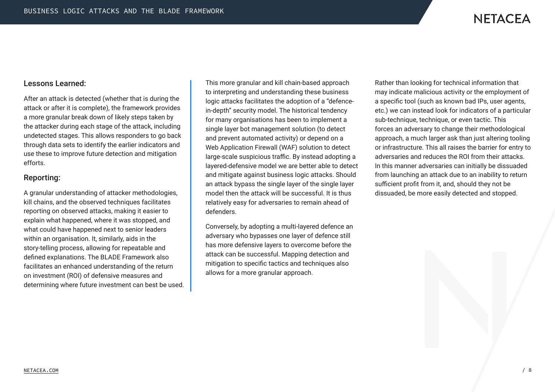

#### Lessons Learned:

After an attack is detected (whether that is during the attack or after it is complete), the framework provides a more granular break down of likely steps taken by the attacker during each stage of the attack, including undetected stages. This allows responders to go back through data sets to identify the earlier indicators and use these to improve future detection and mitigation efforts.

#### Reporting:

A granular understanding of attacker methodologies, kill chains, and the observed techniques facilitates reporting on observed attacks, making it easier to explain what happened, where it was stopped, and what could have happened next to senior leaders within an organisation. It, similarly, aids in the story-telling process, allowing for repeatable and defined explanations. The BLADE Framework also facilitates an enhanced understanding of the return on investment (ROI) of defensive measures and determining where future investment can best be used. This more granular and kill chain-based approach to interpreting and understanding these business logic attacks facilitates the adoption of a "defencein-depth" security model. The historical tendency for many organisations has been to implement a single layer bot management solution (to detect and prevent automated activity) or depend on a Web Application Firewall (WAF) solution to detect large-scale suspicious traffic. By instead adopting a layered-defensive model we are better able to detect and mitigate against business logic attacks. Should an attack bypass the single layer of the single layer model then the attack will be successful. It is thus relatively easy for adversaries to remain ahead of defenders.

Conversely, by adopting a multi-layered defence an adversary who bypasses one layer of defence still has more defensive layers to overcome before the attack can be successful. Mapping detection and mitigation to specific tactics and techniques also allows for a more granular approach.

Rather than looking for technical information that may indicate malicious activity or the employment of a specific tool (such as known bad IPs, user agents, etc.) we can instead look for indicators of a particular sub-technique, technique, or even tactic. This forces an adversary to change their methodological approach, a much larger ask than just altering tooling or infrastructure. This all raises the barrier for entry to adversaries and reduces the ROI from their attacks. In this manner adversaries can initially be dissuaded from launching an attack due to an inability to return sufficient profit from it, and, should they not be dissuaded, be more easily detected and stopped.